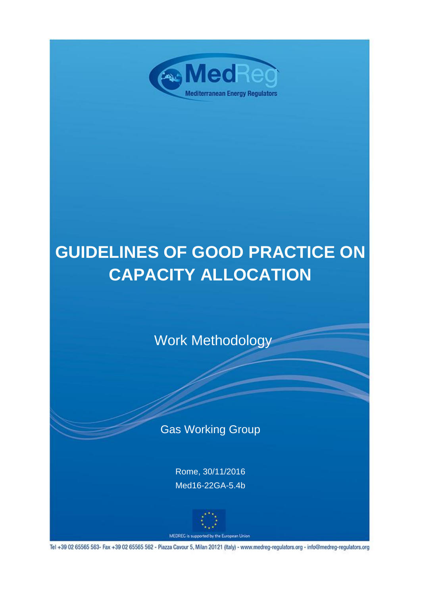

# **GUIDELINES OF GOOD PRACTICE ON CAPACITY ALLOCATION**

Work Methodology

## Gas Working Group

Rome, 30/11/2016 Med16-22GA-5.4b



Tel +39 02 65565 563- Fax +39 02 65565 562 - Piazza Cavour 5, Milan 20121 (Italy) - www.medreg-regulators.org - info@medreg-regulators.org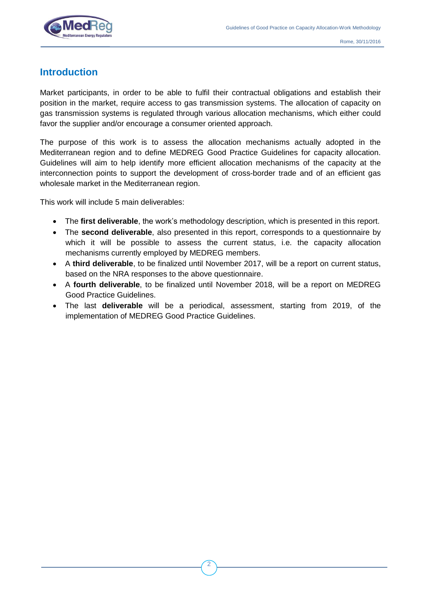

### **Introduction**

Market participants, in order to be able to fulfil their contractual obligations and establish their position in the market, require access to gas transmission systems. The allocation of capacity on gas transmission systems is regulated through various allocation mechanisms, which either could favor the supplier and/or encourage a consumer oriented approach.

The purpose of this work is to assess the allocation mechanisms actually adopted in the Mediterranean region and to define MEDREG Good Practice Guidelines for capacity allocation. Guidelines will aim to help identify more efficient allocation mechanisms of the capacity at the interconnection points to support the development of cross-border trade and of an efficient gas wholesale market in the Mediterranean region.

This work will include 5 main deliverables:

- The **first deliverable**, the work's methodology description, which is presented in this report.
- The **second deliverable**, also presented in this report, corresponds to a questionnaire by which it will be possible to assess the current status, i.e. the capacity allocation mechanisms currently employed by MEDREG members.
- A **third deliverable**, to be finalized until November 2017, will be a report on current status, based on the NRA responses to the above questionnaire.
- A **fourth deliverable**, to be finalized until November 2018, will be a report on MEDREG Good Practice Guidelines.
- The last **deliverable** will be a periodical, assessment, starting from 2019, of the implementation of MEDREG Good Practice Guidelines.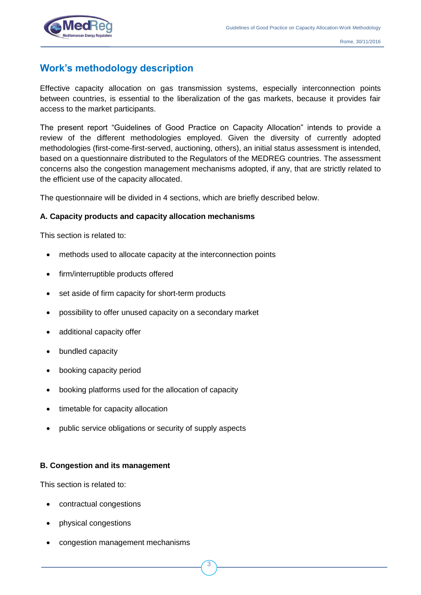

## **Work's methodology description**

Effective capacity allocation on gas transmission systems, especially interconnection points between countries, is essential to the liberalization of the gas markets, because it provides fair access to the market participants.

The present report "Guidelines of Good Practice on Capacity Allocation" intends to provide a review of the different methodologies employed. Given the diversity of currently adopted methodologies (first-come-first-served, auctioning, others), an initial status assessment is intended, based on a questionnaire distributed to the Regulators of the MEDREG countries. The assessment concerns also the congestion management mechanisms adopted, if any, that are strictly related to the efficient use of the capacity allocated.

The questionnaire will be divided in 4 sections, which are briefly described below.

#### **A. Capacity products and capacity allocation mechanisms**

This section is related to:

- methods used to allocate capacity at the interconnection points
- firm/interruptible products offered
- set aside of firm capacity for short-term products
- possibility to offer unused capacity on a secondary market
- additional capacity offer
- bundled capacity
- booking capacity period
- booking platforms used for the allocation of capacity
- timetable for capacity allocation
- public service obligations or security of supply aspects

#### **B. Congestion and its management**

This section is related to:

- contractual congestions
- physical congestions
- congestion management mechanisms